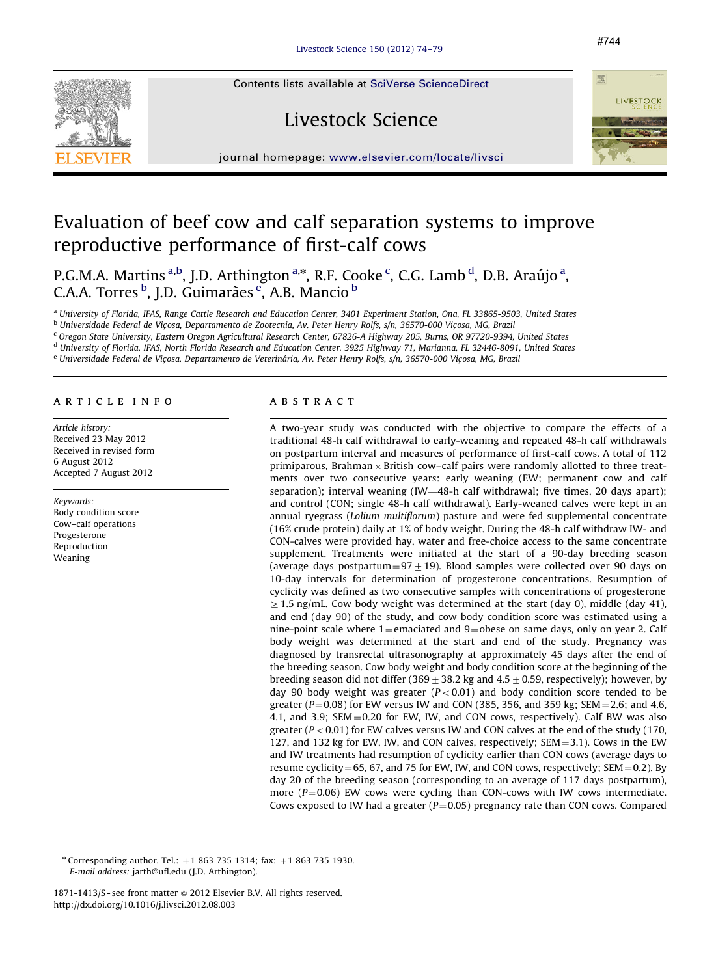#744

Contents lists available at [SciVerse ScienceDirect](www.elsevier.com/locate/livsci)

# Livestock Science



journal homepage: <www.elsevier.com/locate/livsci>

# Evaluation of beef cow and calf separation systems to improve reproductive performance of first-calf cows

P.G.M.A. Martins <sup>a,b</sup>, J.D. Arthington <sup>a,\*</sup>, R.F. Cooke<sup>c</sup>, C.G. Lamb <sup>d</sup>, D.B. Araújo <sup>a</sup>, C.A.A. Torres <sup>b</sup>, J.D. Guimarães <sup>e</sup>, A.B. Mancio <sup>b</sup>

<sup>a</sup> University of Florida, IFAS, Range Cattle Research and Education Center, 3401 Experiment Station, Ona, FL 33865-9503, United States

<sup>b</sup> Universidade Federal de Viçosa, Departamento de Zootecnia, Av. Peter Henry Rolfs, s/n, 36570-000 Viçosa, MG, Brazil

<sup>c</sup> Oregon State University, Eastern Oregon Agricultural Research Center, 67826-A Highway 205, Burns, OR 97720-9394, United States

<sup>d</sup> University of Florida, IFAS, North Florida Research and Education Center, 3925 Highway 71, Marianna, FL 32446-8091, United States

e Universidade Federal de Viçosa, Departamento de Veterinária, Av. Peter Henry Rolfs, s/n, 36570-000 Viçosa, MG, Brazil

### article info

Article history: Received 23 May 2012 Received in revised form 6 August 2012 Accepted 7 August 2012

Keywords: Body condition score Cow–calf operations Progesterone Reproduction Weaning

## **ABSTRACT**

A two-year study was conducted with the objective to compare the effects of a traditional 48-h calf withdrawal to early-weaning and repeated 48-h calf withdrawals on postpartum interval and measures of performance of first-calf cows. A total of 112 primiparous, Brahman  $\times$  British cow–calf pairs were randomly allotted to three treatments over two consecutive years: early weaning (EW; permanent cow and calf separation); interval weaning (IW—48-h calf withdrawal; five times, 20 days apart); and control (CON; single 48-h calf withdrawal). Early-weaned calves were kept in an annual ryegrass (Lolium multiflorum) pasture and were fed supplemental concentrate (16% crude protein) daily at 1% of body weight. During the 48-h calf withdraw IW- and CON-calves were provided hay, water and free-choice access to the same concentrate supplement. Treatments were initiated at the start of a 90-day breeding season (average days postpartum =  $97 \pm 19$ ). Blood samples were collected over 90 days on 10-day intervals for determination of progesterone concentrations. Resumption of cyclicity was defined as two consecutive samples with concentrations of progesterone  $\geq$  1.5 ng/mL. Cow body weight was determined at the start (day 0), middle (day 41), and end (day 90) of the study, and cow body condition score was estimated using a nine-point scale where  $1$ =emaciated and  $9$ =obese on same days, only on year 2. Calf body weight was determined at the start and end of the study. Pregnancy was diagnosed by transrectal ultrasonography at approximately 45 days after the end of the breeding season. Cow body weight and body condition score at the beginning of the breeding season did not differ (369  $\pm$  38.2 kg and 4.5  $\pm$  0.59, respectively); however, by day 90 body weight was greater  $(P < 0.01)$  and body condition score tended to be greater ( $P=0.08$ ) for EW versus IW and CON (385, 356, and 359 kg; SEM $=$ 2.6; and 4.6, 4.1, and 3.9;  $SEM = 0.20$  for EW, IW, and CON cows, respectively). Calf BW was also greater ( $P < 0.01$ ) for EW calves versus IW and CON calves at the end of the study (170, 127, and 132 kg for EW, IW, and CON calves, respectively;  $SEM = 3.1$ ). Cows in the EW and IW treatments had resumption of cyclicity earlier than CON cows (average days to resume cyclicity = 65, 67, and 75 for EW, IW, and CON cows, respectively;  $SEM = 0.2$ ). By day 20 of the breeding season (corresponding to an average of 117 days postpartum), more ( $P=0.06$ ) EW cows were cycling than CON-cows with IW cows intermediate. Cows exposed to IW had a greater ( $P=0.05$ ) pregnancy rate than CON cows. Compared

 $*$  Corresponding author. Tel.:  $+1$  863 735 1314; fax:  $+1$  863 735 1930. E-mail address: [jarth@ufl.edu \(J.D. Arthington\)](mailto:jarth@ufl.edu).

1871-1413/\$ - see front matter © 2012 Elsevier B.V. All rights reserved. [http://dx.doi.org/10.1016/j.livsci.2012.08.003](dx.doi.org/10.1016/j.livsci.2012.08.003)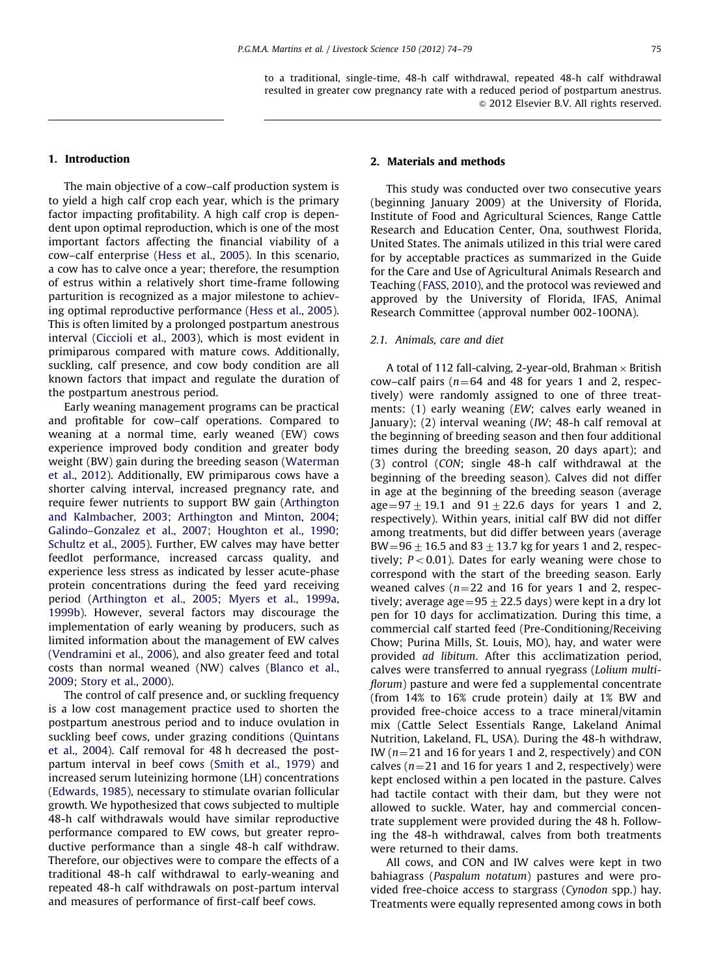to a traditional, single-time, 48-h calf withdrawal, repeated 48-h calf withdrawal resulted in greater cow pregnancy rate with a reduced period of postpartum anestrus.  $\odot$  2012 Elsevier B.V. All rights reserved.

## 1. Introduction

The main objective of a cow–calf production system is to yield a high calf crop each year, which is the primary factor impacting profitability. A high calf crop is dependent upon optimal reproduction, which is one of the most important factors affecting the financial viability of a cow–calf enterprise [\(Hess et al., 2005](#page-5-0)). In this scenario, a cow has to calve once a year; therefore, the resumption of estrus within a relatively short time-frame following parturition is recognized as a major milestone to achieving optimal reproductive performance ([Hess et al., 2005](#page-5-0)). This is often limited by a prolonged postpartum anestrous interval [\(Ciccioli et al., 2003](#page-5-0)), which is most evident in primiparous compared with mature cows. Additionally, suckling, calf presence, and cow body condition are all known factors that impact and regulate the duration of the postpartum anestrous period.

Early weaning management programs can be practical and profitable for cow–calf operations. Compared to weaning at a normal time, early weaned (EW) cows experience improved body condition and greater body weight (BW) gain during the breeding season [\(Waterman](#page-5-0) [et al., 2012](#page-5-0)). Additionally, EW primiparous cows have a shorter calving interval, increased pregnancy rate, and require fewer nutrients to support BW gain [\(Arthington](#page-5-0) [and Kalmbacher, 2003;](#page-5-0) [Arthington and Minton, 2004](#page-5-0); [Galindo–Gonzalez et al., 2007;](#page-5-0) [Houghton et al., 1990](#page-5-0); [Schultz et al., 2005\)](#page-5-0). Further, EW calves may have better feedlot performance, increased carcass quality, and experience less stress as indicated by lesser acute-phase protein concentrations during the feed yard receiving period [\(Arthington et al., 2005;](#page-5-0) [Myers et al., 1999a](#page-5-0), [1999b](#page-5-0)). However, several factors may discourage the implementation of early weaning by producers, such as limited information about the management of EW calves ([Vendramini et al., 2006\)](#page-5-0), and also greater feed and total costs than normal weaned (NW) calves [\(Blanco et al.,](#page-5-0) [2009](#page-5-0); [Story et al., 2000](#page-5-0)).

The control of calf presence and, or suckling frequency is a low cost management practice used to shorten the postpartum anestrous period and to induce ovulation in suckling beef cows, under grazing conditions [\(Quintans](#page-5-0) [et al., 2004\)](#page-5-0). Calf removal for 48 h decreased the postpartum interval in beef cows [\(Smith et al., 1979](#page-5-0)) and increased serum luteinizing hormone (LH) concentrations ([Edwards, 1985\)](#page-5-0), necessary to stimulate ovarian follicular growth. We hypothesized that cows subjected to multiple 48-h calf withdrawals would have similar reproductive performance compared to EW cows, but greater reproductive performance than a single 48-h calf withdraw. Therefore, our objectives were to compare the effects of a traditional 48-h calf withdrawal to early-weaning and repeated 48-h calf withdrawals on post-partum interval and measures of performance of first-calf beef cows.

#### 2. Materials and methods

This study was conducted over two consecutive years (beginning January 2009) at the University of Florida, Institute of Food and Agricultural Sciences, Range Cattle Research and Education Center, Ona, southwest Florida, United States. The animals utilized in this trial were cared for by acceptable practices as summarized in the Guide for the Care and Use of Agricultural Animals Research and Teaching [\(FASS, 2010\)](#page-5-0), and the protocol was reviewed and approved by the University of Florida, IFAS, Animal Research Committee (approval number 002-10ONA).

#### 2.1. Animals, care and diet

A total of 112 fall-calving, 2-year-old, Brahman  $\times$  British cow–calf pairs ( $n=64$  and 48 for years 1 and 2, respectively) were randomly assigned to one of three treatments: (1) early weaning (EW; calves early weaned in January); (2) interval weaning (IW; 48-h calf removal at the beginning of breeding season and then four additional times during the breeding season, 20 days apart); and (3) control (CON; single 48-h calf withdrawal at the beginning of the breeding season). Calves did not differ in age at the beginning of the breeding season (average age =  $97 \pm 19.1$  and  $91 \pm 22.6$  days for years 1 and 2, respectively). Within years, initial calf BW did not differ among treatments, but did differ between years (average BW =  $96 \pm 16.5$  and  $83 \pm 13.7$  kg for years 1 and 2, respectively;  $P < 0.01$ ). Dates for early weaning were chose to correspond with the start of the breeding season. Early weaned calves ( $n=22$  and 16 for years 1 and 2, respectively; average age =  $95 \pm 22.5$  days) were kept in a dry lot pen for 10 days for acclimatization. During this time, a commercial calf started feed (Pre-Conditioning/Receiving Chow; Purina Mills, St. Louis, MO), hay, and water were provided ad libitum. After this acclimatization period, calves were transferred to annual ryegrass (Lolium multiflorum) pasture and were fed a supplemental concentrate (from 14% to 16% crude protein) daily at 1% BW and provided free-choice access to a trace mineral/vitamin mix (Cattle Select Essentials Range, Lakeland Animal Nutrition, Lakeland, FL, USA). During the 48-h withdraw, IW ( $n=21$  and 16 for years 1 and 2, respectively) and CON calves ( $n=21$  and 16 for years 1 and 2, respectively) were kept enclosed within a pen located in the pasture. Calves had tactile contact with their dam, but they were not allowed to suckle. Water, hay and commercial concentrate supplement were provided during the 48 h. Following the 48-h withdrawal, calves from both treatments were returned to their dams.

All cows, and CON and IW calves were kept in two bahiagrass (Paspalum notatum) pastures and were provided free-choice access to stargrass (Cynodon spp.) hay. Treatments were equally represented among cows in both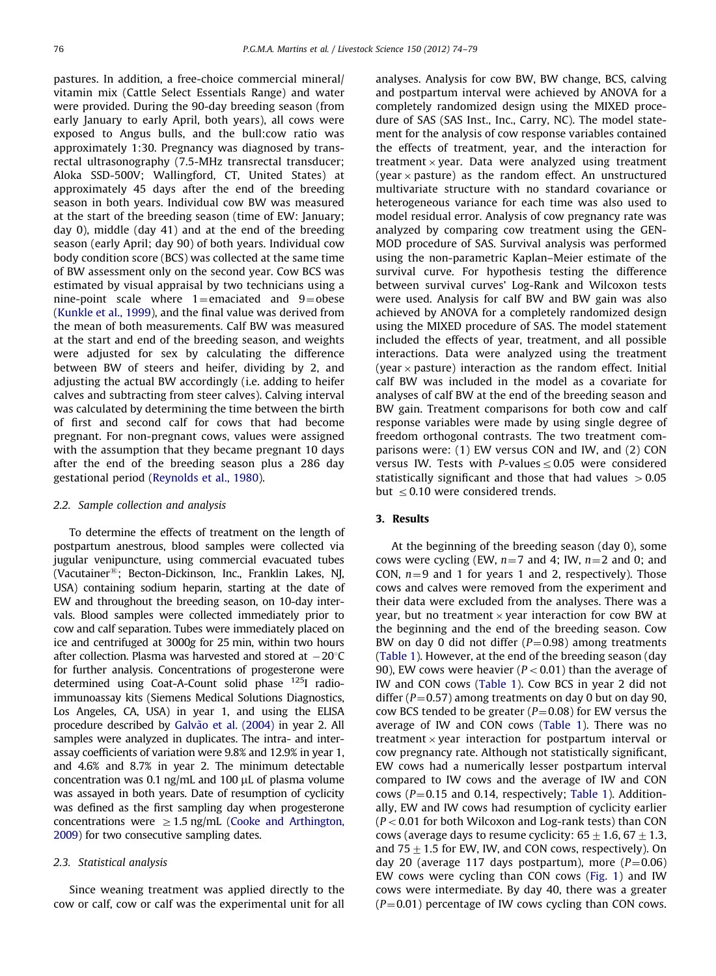pastures. In addition, a free-choice commercial mineral/ vitamin mix (Cattle Select Essentials Range) and water were provided. During the 90-day breeding season (from early January to early April, both years), all cows were exposed to Angus bulls, and the bull:cow ratio was approximately 1:30. Pregnancy was diagnosed by transrectal ultrasonography (7.5-MHz transrectal transducer; Aloka SSD-500V; Wallingford, CT, United States) at approximately 45 days after the end of the breeding season in both years. Individual cow BW was measured at the start of the breeding season (time of EW: January; day 0), middle (day 41) and at the end of the breeding season (early April; day 90) of both years. Individual cow body condition score (BCS) was collected at the same time of BW assessment only on the second year. Cow BCS was estimated by visual appraisal by two technicians using a nine-point scale where  $1$ =emaciated and 9=obese ([Kunkle et al., 1999\)](#page-5-0), and the final value was derived from the mean of both measurements. Calf BW was measured at the start and end of the breeding season, and weights were adjusted for sex by calculating the difference between BW of steers and heifer, dividing by 2, and adjusting the actual BW accordingly (i.e. adding to heifer calves and subtracting from steer calves). Calving interval was calculated by determining the time between the birth of first and second calf for cows that had become pregnant. For non-pregnant cows, values were assigned with the assumption that they became pregnant 10 days after the end of the breeding season plus a 286 day gestational period [\(Reynolds et al., 1980\)](#page-5-0).

### 2.2. Sample collection and analysis

To determine the effects of treatment on the length of postpartum anestrous, blood samples were collected via jugular venipuncture, using commercial evacuated tubes (Vacutainer<sup>®</sup>; Becton-Dickinson, Inc., Franklin Lakes, NJ, USA) containing sodium heparin, starting at the date of EW and throughout the breeding season, on 10-day intervals. Blood samples were collected immediately prior to cow and calf separation. Tubes were immediately placed on ice and centrifuged at 3000g for 25 min, within two hours after collection. Plasma was harvested and stored at  $-20^{\circ}$ C for further analysis. Concentrations of progesterone were determined using Coat-A-Count solid phase 125I radioimmunoassay kits (Siemens Medical Solutions Diagnostics, Los Angeles, CA, USA) in year 1, and using the ELISA procedure described by [Galv](#page-5-0)ã[o et al. \(2004\)](#page-5-0) in year 2. All samples were analyzed in duplicates. The intra- and interassay coefficients of variation were 9.8% and 12.9% in year 1, and 4.6% and 8.7% in year 2. The minimum detectable concentration was 0.1 ng/mL and 100  $\mu$ L of plasma volume was assayed in both years. Date of resumption of cyclicity was defined as the first sampling day when progesterone concentrations were  $\geq$  1.5 ng/mL [\(Cooke and Arthington,](#page-5-0) [2009](#page-5-0)) for two consecutive sampling dates.

#### 2.3. Statistical analysis

Since weaning treatment was applied directly to the cow or calf, cow or calf was the experimental unit for all analyses. Analysis for cow BW, BW change, BCS, calving and postpartum interval were achieved by ANOVA for a completely randomized design using the MIXED procedure of SAS (SAS Inst., Inc., Carry, NC). The model statement for the analysis of cow response variables contained the effects of treatment, year, and the interaction for treatment  $\times$  year. Data were analyzed using treatment (year  $\times$  pasture) as the random effect. An unstructured multivariate structure with no standard covariance or heterogeneous variance for each time was also used to model residual error. Analysis of cow pregnancy rate was analyzed by comparing cow treatment using the GEN-MOD procedure of SAS. Survival analysis was performed using the non-parametric Kaplan–Meier estimate of the survival curve. For hypothesis testing the difference between survival curves' Log-Rank and Wilcoxon tests were used. Analysis for calf BW and BW gain was also achieved by ANOVA for a completely randomized design using the MIXED procedure of SAS. The model statement included the effects of year, treatment, and all possible interactions. Data were analyzed using the treatment (year  $\times$  pasture) interaction as the random effect. Initial calf BW was included in the model as a covariate for analyses of calf BW at the end of the breeding season and BW gain. Treatment comparisons for both cow and calf response variables were made by using single degree of freedom orthogonal contrasts. The two treatment comparisons were: (1) EW versus CON and IW, and (2) CON versus IW. Tests with P-values  $\leq$  0.05 were considered statistically significant and those that had values  $>0.05$ but  $\leq$  0.10 were considered trends.

## 3. Results

At the beginning of the breeding season (day 0), some cows were cycling (EW,  $n=7$  and 4; IW,  $n=2$  and 0; and CON,  $n=9$  and 1 for years 1 and 2, respectively). Those cows and calves were removed from the experiment and their data were excluded from the analyses. There was a year, but no treatment  $\times$  year interaction for cow BW at the beginning and the end of the breeding season. Cow BW on day 0 did not differ  $(P=0.98)$  among treatments [\(Table 1\)](#page-3-0). However, at the end of the breeding season (day 90), EW cows were heavier ( $P < 0.01$ ) than the average of IW and CON cows [\(Table 1](#page-3-0)). Cow BCS in year 2 did not differ ( $P=0.57$ ) among treatments on day 0 but on day 90, cow BCS tended to be greater ( $P=0.08$ ) for EW versus the average of IW and CON cows [\(Table 1\)](#page-3-0). There was no treatment  $\times$  year interaction for postpartum interval or cow pregnancy rate. Although not statistically significant, EW cows had a numerically lesser postpartum interval compared to IW cows and the average of IW and CON cows ( $P=0.15$  and 0.14, respectively; [Table 1\)](#page-3-0). Additionally, EW and IW cows had resumption of cyclicity earlier  $(P<0.01$  for both Wilcoxon and Log-rank tests) than CON cows (average days to resume cyclicity:  $65\pm1.6$ ,  $67\pm1.3$ , and 75  $\pm$  1.5 for EW, IW, and CON cows, respectively). On day 20 (average 117 days postpartum), more  $(P=0.06)$ EW cows were cycling than CON cows ([Fig. 1\)](#page-3-0) and IW cows were intermediate. By day 40, there was a greater  $(P=0.01)$  percentage of IW cows cycling than CON cows.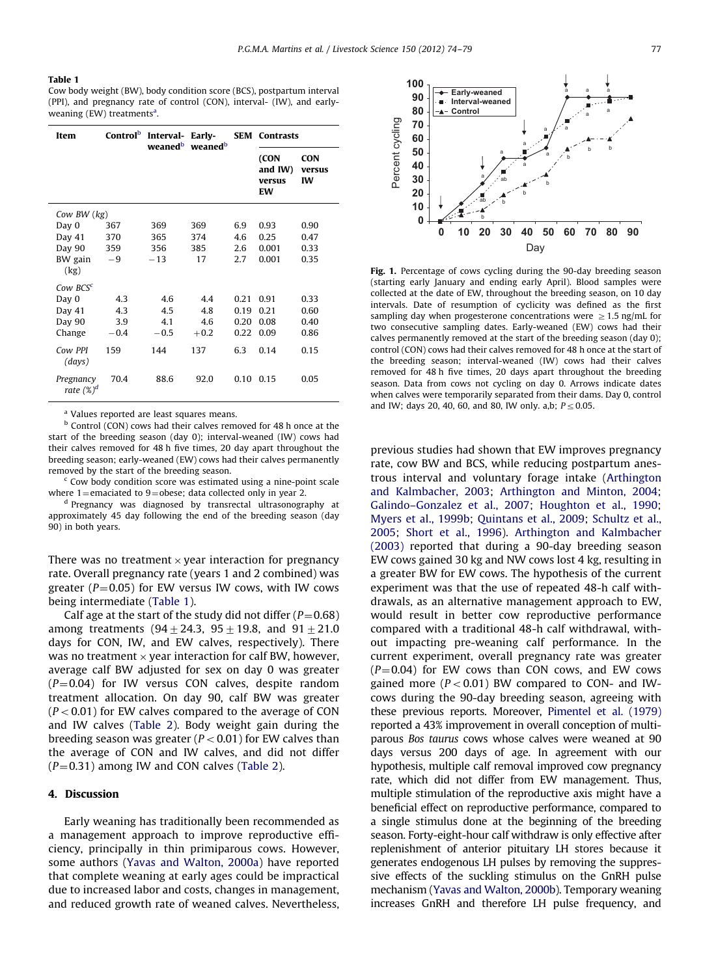#### <span id="page-3-0"></span>Table 1

Cow body weight (BW), body condition score (BCS), postpartum interval (PPI), and pregnancy rate of control (CON), interval- (IW), and earlyweaning (EW) treatments<sup>a</sup>.

| Item                       |        | Control <sup>b</sup> Interval- Early- | weaned <sup>b</sup> weaned <sup>b</sup> |      | <b>SEM</b> Contrasts            |                                   |  |  |  |
|----------------------------|--------|---------------------------------------|-----------------------------------------|------|---------------------------------|-----------------------------------|--|--|--|
|                            |        |                                       |                                         |      | (CON<br>and IW)<br>versus<br>EW | <b>CON</b><br>versus<br><b>IW</b> |  |  |  |
| Cow BW (kg)                |        |                                       |                                         |      |                                 |                                   |  |  |  |
| Day 0                      | 367    | 369                                   | 369                                     | 6.9  | 0.93                            | 0.90                              |  |  |  |
| Day 41                     | 370    | 365                                   | 374                                     | 4.6  | 0.25                            | 0.47                              |  |  |  |
| Day 90                     | 359    | 356                                   | 385                                     | 2.6  | 0.001                           | 0.33                              |  |  |  |
| BW gain<br>(kg)            | $-9$   | $-13$                                 | 17                                      | 2.7  | 0.001                           | 0.35                              |  |  |  |
| Cow BCS <sup>c</sup>       |        |                                       |                                         |      |                                 |                                   |  |  |  |
| Day 0                      | 4.3    | 4.6                                   | 4.4                                     | 0.21 | 0.91                            | 0.33                              |  |  |  |
| Day 41                     | 4.3    | 4.5                                   | 4.8                                     | 0.19 | 0.21                            | 0.60                              |  |  |  |
| Day 90                     | 3.9    | 4.1                                   | 4.6                                     | 0.20 | 0.08                            | 0.40                              |  |  |  |
| Change                     | $-0.4$ | $-0.5$                                | $+0.2$                                  | 0.22 | 0.09                            | 0.86                              |  |  |  |
| Cow PPI<br>(days)          | 159    | 144                                   | 137                                     | 6.3  | 0.14                            | 0.15                              |  |  |  |
| Pregnancy<br>rate $(\%)^d$ | 70.4   | 88.6                                  | 92.0                                    | 0.10 | 0.15                            | 0.05                              |  |  |  |

<sup>a</sup> Values reported are least squares means.

 $<sup>b</sup>$  Control (CON) cows had their calves removed for 48 h once at the</sup> start of the breeding season (day 0); interval-weaned (IW) cows had their calves removed for 48 h five times, 20 day apart throughout the breeding season; early-weaned (EW) cows had their calves permanently removed by the start of the breeding season.

 $\epsilon$  Cow body condition score was estimated using a nine-point scale where  $1$ =emaciated to 9=obese; data collected only in year 2.

<sup>d</sup> Pregnancy was diagnosed by transrectal ultrasonography at approximately 45 day following the end of the breeding season (day 90) in both years.

There was no treatment  $\times$  year interaction for pregnancy rate. Overall pregnancy rate (years 1 and 2 combined) was greater ( $P=0.05$ ) for EW versus IW cows, with IW cows being intermediate (Table 1).

Calf age at the start of the study did not differ  $(P=0.68)$ among treatments  $(94 \pm 24.3, 95 \pm 19.8,$  and  $91 \pm 21.0$ days for CON, IW, and EW calves, respectively). There was no treatment  $\times$  year interaction for calf BW, however, average calf BW adjusted for sex on day 0 was greater  $(P=0.04)$  for IW versus CON calves, despite random treatment allocation. On day 90, calf BW was greater  $(P<0.01)$  for EW calves compared to the average of CON and IW calves ([Table 2\)](#page-4-0). Body weight gain during the breeding season was greater ( $P < 0.01$ ) for EW calves than the average of CON and IW calves, and did not differ  $(P=0.31)$  among IW and CON calves ([Table 2\)](#page-4-0).

#### 4. Discussion

Early weaning has traditionally been recommended as a management approach to improve reproductive efficiency, principally in thin primiparous cows. However, some authors ([Yavas and Walton, 2000a\)](#page-5-0) have reported that complete weaning at early ages could be impractical due to increased labor and costs, changes in management, and reduced growth rate of weaned calves. Nevertheless,



Fig. 1. Percentage of cows cycling during the 90-day breeding season (starting early January and ending early April). Blood samples were collected at the date of EW, throughout the breeding season, on 10 day intervals. Date of resumption of cyclicity was defined as the first sampling day when progesterone concentrations were  $> 1.5$  ng/mL for two consecutive sampling dates. Early-weaned (EW) cows had their calves permanently removed at the start of the breeding season (day 0); control (CON) cows had their calves removed for 48 h once at the start of the breeding season; interval-weaned (IW) cows had their calves removed for 48 h five times, 20 days apart throughout the breeding season. Data from cows not cycling on day 0. Arrows indicate dates when calves were temporarily separated from their dams. Day 0, control and IW; days 20, 40, 60, and 80, IW only. a,b;  $P \le 0.05$ .

previous studies had shown that EW improves pregnancy rate, cow BW and BCS, while reducing postpartum anestrous interval and voluntary forage intake [\(Arthington](#page-5-0) [and Kalmbacher, 2003;](#page-5-0) [Arthington and Minton, 2004](#page-5-0); [Galindo–Gonzalez et al., 2007;](#page-5-0) [Houghton et al., 1990](#page-5-0); [Myers et al., 1999b](#page-5-0); [Quintans et al., 2009;](#page-5-0) [Schultz et al.,](#page-5-0) [2005](#page-5-0); [Short et al., 1996\)](#page-5-0). [Arthington and Kalmbacher](#page-5-0) [\(2003\)](#page-5-0) reported that during a 90-day breeding season EW cows gained 30 kg and NW cows lost 4 kg, resulting in a greater BW for EW cows. The hypothesis of the current experiment was that the use of repeated 48-h calf withdrawals, as an alternative management approach to EW, would result in better cow reproductive performance compared with a traditional 48-h calf withdrawal, without impacting pre-weaning calf performance. In the current experiment, overall pregnancy rate was greater  $(P=0.04)$  for EW cows than CON cows, and EW cows gained more  $(P < 0.01)$  BW compared to CON- and IWcows during the 90-day breeding season, agreeing with these previous reports. Moreover, [Pimentel et al. \(1979\)](#page-5-0) reported a 43% improvement in overall conception of multiparous Bos taurus cows whose calves were weaned at 90 days versus 200 days of age. In agreement with our hypothesis, multiple calf removal improved cow pregnancy rate, which did not differ from EW management. Thus, multiple stimulation of the reproductive axis might have a beneficial effect on reproductive performance, compared to a single stimulus done at the beginning of the breeding season. Forty-eight-hour calf withdraw is only effective after replenishment of anterior pituitary LH stores because it generates endogenous LH pulses by removing the suppressive effects of the suckling stimulus on the GnRH pulse mechanism ([Yavas and Walton, 2000b](#page-5-0)). Temporary weaning increases GnRH and therefore LH pulse frequency, and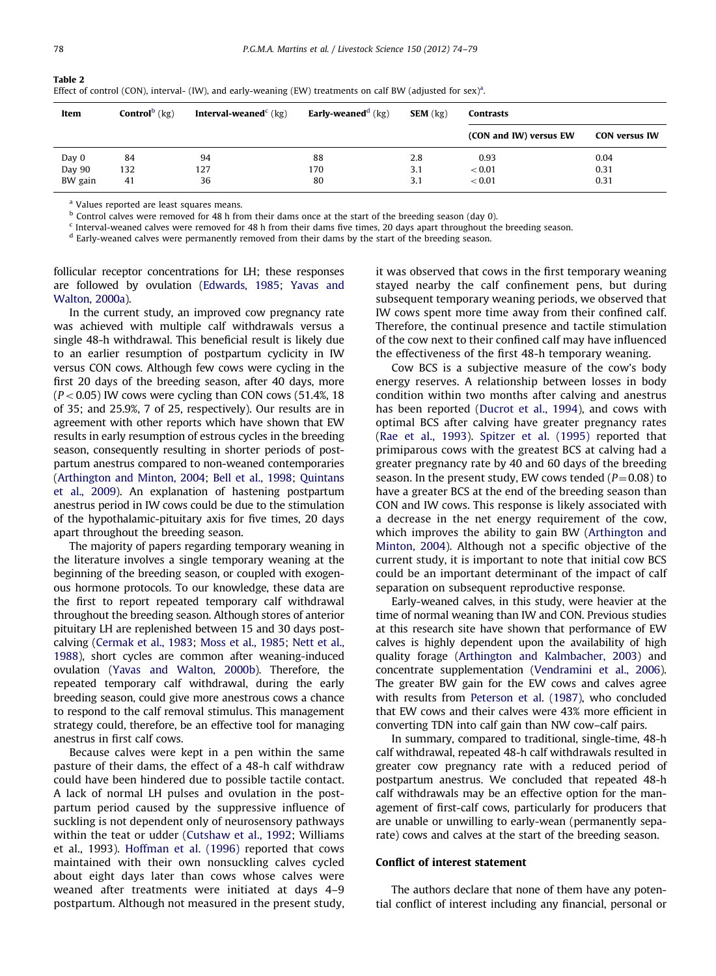| Item    | <b>Control</b> <sup>b</sup> (kg) | <b>Interval-weaned</b> <sup>c</sup> (kg) | <b>Early-weaned</b> $(kg)$ | $SEM$ (kg) | <b>Contrasts</b>       |                      |  |
|---------|----------------------------------|------------------------------------------|----------------------------|------------|------------------------|----------------------|--|
|         |                                  |                                          |                            |            | (CON and IW) versus EW | <b>CON versus IW</b> |  |
| Day 0   | 84                               | 94                                       | 88                         | 2.8        | 0.93                   | 0.04                 |  |
| Day 90  | 132                              | 127                                      | 170                        | 3.1        | < 0.01                 | 0.31                 |  |
| BW gain | 41                               | 36                                       | 80                         | 3.1        | < 0.01                 | 0.31                 |  |

<span id="page-4-0"></span>Table 2 Effect of control (CON), interval- (IW), and early-weaning (EW) treatments on calf BW (adjusted for sex)<sup>a</sup>.

<sup>a</sup> Values reported are least squares means.

**b** Control calves were removed for 48 h from their dams once at the start of the breeding season (day 0).

 $c$  Interval-weaned calves were removed for 48 h from their dams five times, 20 days apart throughout the breeding season.

 $<sup>d</sup>$  Early-weaned calves were permanently removed from their dams by the start of the breeding season.</sup>

follicular receptor concentrations for LH; these responses are followed by ovulation ([Edwards, 1985;](#page-5-0) [Yavas and](#page-5-0) [Walton, 2000a](#page-5-0)).

In the current study, an improved cow pregnancy rate was achieved with multiple calf withdrawals versus a single 48-h withdrawal. This beneficial result is likely due to an earlier resumption of postpartum cyclicity in IW versus CON cows. Although few cows were cycling in the first 20 days of the breeding season, after 40 days, more  $(P<0.05)$  IW cows were cycling than CON cows (51.4%, 18) of 35; and 25.9%, 7 of 25, respectively). Our results are in agreement with other reports which have shown that EW results in early resumption of estrous cycles in the breeding season, consequently resulting in shorter periods of postpartum anestrus compared to non-weaned contemporaries ([Arthington and Minton, 2004;](#page-5-0) [Bell et al., 1998](#page-5-0); [Quintans](#page-5-0) [et al., 2009](#page-5-0)). An explanation of hastening postpartum anestrus period in IW cows could be due to the stimulation of the hypothalamic-pituitary axis for five times, 20 days apart throughout the breeding season.

The majority of papers regarding temporary weaning in the literature involves a single temporary weaning at the beginning of the breeding season, or coupled with exogenous hormone protocols. To our knowledge, these data are the first to report repeated temporary calf withdrawal throughout the breeding season. Although stores of anterior pituitary LH are replenished between 15 and 30 days postcalving [\(Cermak et al., 1983;](#page-5-0) [Moss et al., 1985;](#page-5-0) [Nett et al.,](#page-5-0) [1988\)](#page-5-0), short cycles are common after weaning-induced ovulation ([Yavas and Walton, 2000b](#page-5-0)). Therefore, the repeated temporary calf withdrawal, during the early breeding season, could give more anestrous cows a chance to respond to the calf removal stimulus. This management strategy could, therefore, be an effective tool for managing anestrus in first calf cows.

Because calves were kept in a pen within the same pasture of their dams, the effect of a 48-h calf withdraw could have been hindered due to possible tactile contact. A lack of normal LH pulses and ovulation in the postpartum period caused by the suppressive influence of suckling is not dependent only of neurosensory pathways within the teat or udder [\(Cutshaw et al., 1992;](#page-5-0) Williams et al., 1993). [Hoffman et al. \(1996\)](#page-5-0) reported that cows maintained with their own nonsuckling calves cycled about eight days later than cows whose calves were weaned after treatments were initiated at days 4–9 postpartum. Although not measured in the present study,

it was observed that cows in the first temporary weaning stayed nearby the calf confinement pens, but during subsequent temporary weaning periods, we observed that IW cows spent more time away from their confined calf. Therefore, the continual presence and tactile stimulation of the cow next to their confined calf may have influenced the effectiveness of the first 48-h temporary weaning.

Cow BCS is a subjective measure of the cow's body energy reserves. A relationship between losses in body condition within two months after calving and anestrus has been reported ([Ducrot et al., 1994\)](#page-5-0), and cows with optimal BCS after calving have greater pregnancy rates [\(Rae et al., 1993](#page-5-0)). [Spitzer et al. \(1995\)](#page-5-0) reported that primiparous cows with the greatest BCS at calving had a greater pregnancy rate by 40 and 60 days of the breeding season. In the present study, EW cows tended ( $P=0.08$ ) to have a greater BCS at the end of the breeding season than CON and IW cows. This response is likely associated with a decrease in the net energy requirement of the cow, which improves the ability to gain BW ([Arthington and](#page-5-0) [Minton, 2004\)](#page-5-0). Although not a specific objective of the current study, it is important to note that initial cow BCS could be an important determinant of the impact of calf separation on subsequent reproductive response.

Early-weaned calves, in this study, were heavier at the time of normal weaning than IW and CON. Previous studies at this research site have shown that performance of EW calves is highly dependent upon the availability of high quality forage [\(Arthington and Kalmbacher, 2003\)](#page-5-0) and concentrate supplementation [\(Vendramini et al., 2006](#page-5-0)). The greater BW gain for the EW cows and calves agree with results from [Peterson et al. \(1987\),](#page-5-0) who concluded that EW cows and their calves were 43% more efficient in converting TDN into calf gain than NW cow–calf pairs.

In summary, compared to traditional, single-time, 48-h calf withdrawal, repeated 48-h calf withdrawals resulted in greater cow pregnancy rate with a reduced period of postpartum anestrus. We concluded that repeated 48-h calf withdrawals may be an effective option for the management of first-calf cows, particularly for producers that are unable or unwilling to early-wean (permanently separate) cows and calves at the start of the breeding season.

#### Conflict of interest statement

The authors declare that none of them have any potential conflict of interest including any financial, personal or